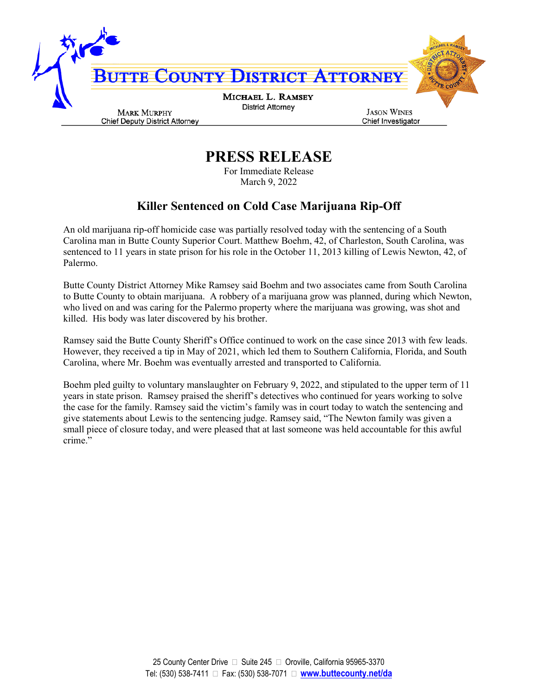

**PRESS RELEASE**

For Immediate Release March 9, 2022

## **Killer Sentenced on Cold Case Marijuana Rip-Off**

An old marijuana rip-off homicide case was partially resolved today with the sentencing of a South Carolina man in Butte County Superior Court. Matthew Boehm, 42, of Charleston, South Carolina, was sentenced to 11 years in state prison for his role in the October 11, 2013 killing of Lewis Newton, 42, of Palermo.

Butte County District Attorney Mike Ramsey said Boehm and two associates came from South Carolina to Butte County to obtain marijuana. A robbery of a marijuana grow was planned, during which Newton, who lived on and was caring for the Palermo property where the marijuana was growing, was shot and killed. His body was later discovered by his brother.

Ramsey said the Butte County Sheriff's Office continued to work on the case since 2013 with few leads. However, they received a tip in May of 2021, which led them to Southern California, Florida, and South Carolina, where Mr. Boehm was eventually arrested and transported to California.

Boehm pled guilty to voluntary manslaughter on February 9, 2022, and stipulated to the upper term of 11 years in state prison. Ramsey praised the sheriff's detectives who continued for years working to solve the case for the family. Ramsey said the victim's family was in court today to watch the sentencing and give statements about Lewis to the sentencing judge. Ramsey said, "The Newton family was given a small piece of closure today, and were pleased that at last someone was held accountable for this awful crime."